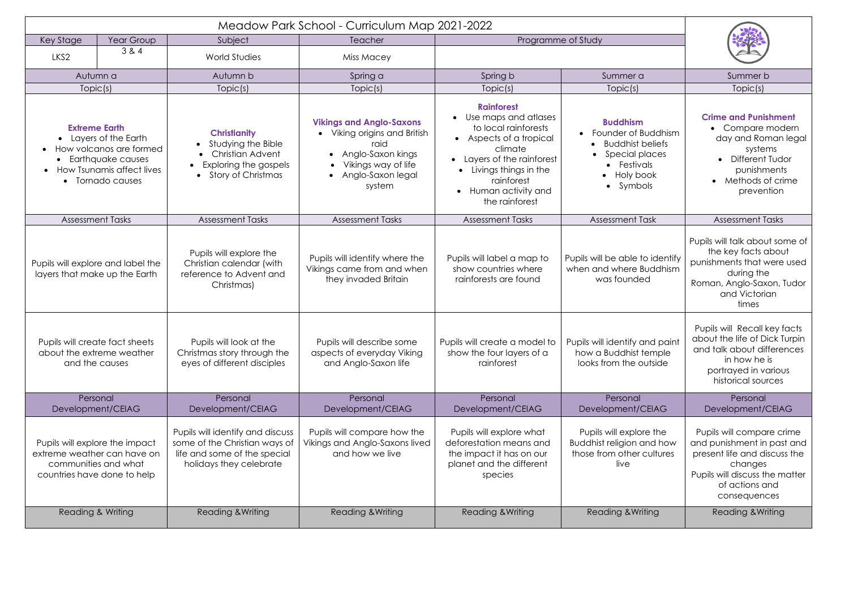| Key Stage                                                                                                                                                                | Year Group | Subject                                                                                                                          | Teacher                                                                                                                                            | Programme of Study                                                                                                                                                                                                                |                                                                                                                                        |                                                                                                                                                                        |  |
|--------------------------------------------------------------------------------------------------------------------------------------------------------------------------|------------|----------------------------------------------------------------------------------------------------------------------------------|----------------------------------------------------------------------------------------------------------------------------------------------------|-----------------------------------------------------------------------------------------------------------------------------------------------------------------------------------------------------------------------------------|----------------------------------------------------------------------------------------------------------------------------------------|------------------------------------------------------------------------------------------------------------------------------------------------------------------------|--|
| LKS <sub>2</sub>                                                                                                                                                         | 384        | <b>World Studies</b>                                                                                                             | Miss Macey                                                                                                                                         |                                                                                                                                                                                                                                   |                                                                                                                                        |                                                                                                                                                                        |  |
| Autumn a                                                                                                                                                                 |            | Autumn b                                                                                                                         | Spring a                                                                                                                                           | Spring b                                                                                                                                                                                                                          | Summer a                                                                                                                               | Summer b                                                                                                                                                               |  |
| Topic(s)                                                                                                                                                                 |            | Topic(s)                                                                                                                         | Topic(s)                                                                                                                                           | Topic(s)                                                                                                                                                                                                                          | Topic(s)                                                                                                                               | Topic(s)                                                                                                                                                               |  |
| <b>Extreme Earth</b><br>• Layers of the Earth<br>How volcanos are formed<br>$\bullet$<br>Earthquake causes<br>$\bullet$<br>• How Tsunamis affect lives<br>Tornado causes |            | <b>Christianity</b><br>Studying the Bible<br>$\bullet$<br><b>Christian Advent</b><br>Exploring the gospels<br>Story of Christmas | <b>Vikings and Anglo-Saxons</b><br>• Viking origins and British<br>raid<br>Anglo-Saxon kings<br>Vikings way of life<br>Anglo-Saxon legal<br>system | <b>Rainforest</b><br>Use maps and atlases<br>to local rainforests<br>• Aspects of a tropical<br>climate<br>• Layers of the rainforest<br>Livings things in the<br>$\bullet$<br>rainforest<br>Human activity and<br>the rainforest | <b>Buddhism</b><br>• Founder of Buddhism<br>• Buddhist beliefs<br>Special places<br>• Festivals<br>• Holy book<br>Symbols<br>$\bullet$ | <b>Crime and Punishment</b><br>Compare modern<br>day and Roman legal<br>systems<br>• Different Tudor<br>punishments<br>• Methods of crime<br>prevention                |  |
| <b>Assessment Tasks</b>                                                                                                                                                  |            | <b>Assessment Tasks</b>                                                                                                          | <b>Assessment Tasks</b>                                                                                                                            | <b>Assessment Tasks</b>                                                                                                                                                                                                           | <b>Assessment Task</b>                                                                                                                 | <b>Assessment Tasks</b>                                                                                                                                                |  |
| Pupils will explore and label the<br>layers that make up the Earth                                                                                                       |            | Pupils will explore the<br>Christian calendar (with<br>reference to Advent and<br>Christmas)                                     | Pupils will identify where the<br>Vikings came from and when<br>they invaded Britain                                                               | Pupils will label a map to<br>show countries where<br>rainforests are found                                                                                                                                                       | Pupils will be able to identify<br>when and where Buddhism<br>was founded                                                              | Pupils will talk about some of<br>the key facts about<br>punishments that were used<br>during the<br>Roman, Anglo-Saxon, Tudor<br>and Victorian<br>times               |  |
| Pupils will create fact sheets<br>about the extreme weather<br>and the causes                                                                                            |            | Pupils will look at the<br>Christmas story through the<br>eyes of different disciples                                            | Pupils will describe some<br>aspects of everyday Viking<br>and Anglo-Saxon life                                                                    | Pupils will create a model to<br>show the four layers of a<br>rainforest                                                                                                                                                          | Pupils will identify and paint<br>how a Buddhist temple<br>looks from the outside                                                      | Pupils will Recall key facts<br>about the life of Dick Turpin<br>and talk about differences<br>in how he is<br>portrayed in various<br>historical sources              |  |
| Personal<br>Development/CEIAG                                                                                                                                            |            | Personal<br>Development/CEIAG                                                                                                    | Personal<br>Development/CEIAG                                                                                                                      | Personal<br>Development/CEIAG                                                                                                                                                                                                     | Personal<br>Development/CEIAG                                                                                                          | Personal<br>Development/CEIAG                                                                                                                                          |  |
| Pupils will explore the impact<br>extreme weather can have on<br>communities and what<br>countries have done to help                                                     |            | Pupils will identify and discuss<br>some of the Christian ways of<br>life and some of the special<br>holidays they celebrate     | Pupils will compare how the<br>Vikings and Anglo-Saxons lived<br>and how we live                                                                   | Pupils will explore what<br>deforestation means and<br>the impact it has on our<br>planet and the different<br>species                                                                                                            | Pupils will explore the<br>Buddhist religion and how<br>those from other cultures<br>live                                              | Pupils will compare crime<br>and punishment in past and<br>present life and discuss the<br>changes<br>Pupils will discuss the matter<br>of actions and<br>consequences |  |
| Reading & Writing                                                                                                                                                        |            | <b>Reading &amp; Writing</b>                                                                                                     | <b>Reading &amp; Writing</b>                                                                                                                       | <b>Reading &amp; Writing</b>                                                                                                                                                                                                      | <b>Reading &amp; Writing</b>                                                                                                           | <b>Reading &amp; Writing</b>                                                                                                                                           |  |